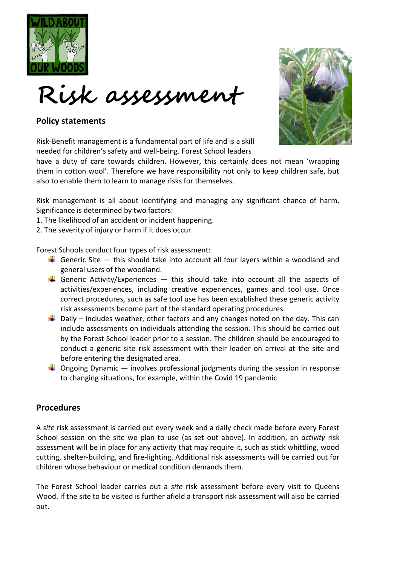



## **Policy statements**

Risk-Benefit management is a fundamental part of life and is a skill needed for children's safety and well-being. Forest School leaders

have a duty of care towards children. However, this certainly does not mean 'wrapping them in cotton wool'. Therefore we have responsibility not only to keep children safe, but also to enable them to learn to manage risks for themselves.

Risk management is all about identifying and managing any significant chance of harm. Significance is determined by two factors:

1. The likelihood of an accident or incident happening.

2. The severity of injury or harm if it does occur.

Forest Schools conduct four types of risk assessment:

- Generic Site  $-$  this should take into account all four layers within a woodland and general users of the woodland.
- Generic Activity/Experiences  $-$  this should take into account all the aspects of activities/experiences, including creative experiences, games and tool use. Once correct procedures, such as safe tool use has been established these generic activity risk assessments become part of the standard operating procedures.
- $\frac{1}{2}$  Daily includes weather, other factors and any changes noted on the day. This can include assessments on individuals attending the session. This should be carried out by the Forest School leader prior to a session. The children should be encouraged to conduct a generic site risk assessment with their leader on arrival at the site and before entering the designated area.
- $\ddot{\phantom{1}}$  Ongoing Dynamic involves professional judgments during the session in response to changing situations, for example, within the Covid 19 pandemic

## **Procedures**

A *site* risk assessment is carried out every week and a daily check made before every Forest School session on the site we plan to use (as set out above). In addition, an *activity* risk assessment will be in place for any activity that may require it, such as stick whittling, wood cutting, shelter-building, and fire-lighting. Additional risk assessments will be carried out for children whose behaviour or medical condition demands them.

The Forest School leader carries out a *site* risk assessment before every visit to Queens Wood. If the site to be visited is further afield a transport risk assessment will also be carried out.